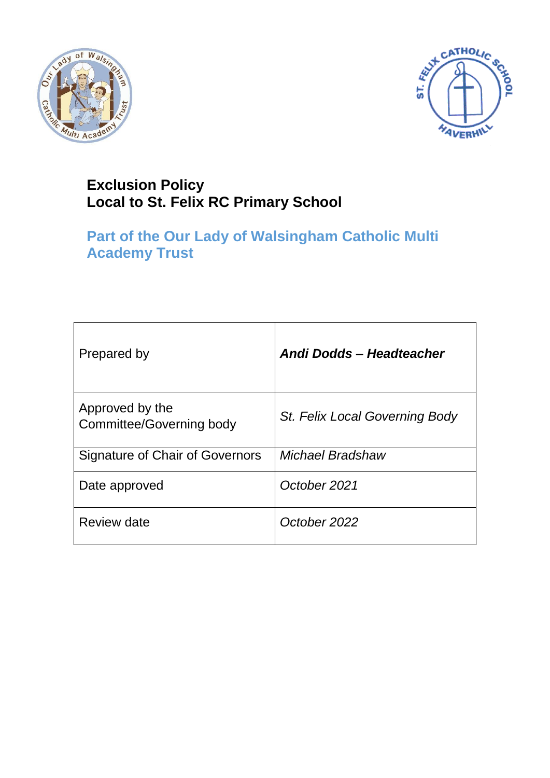



# **Exclusion Policy Local to St. Felix RC Primary School**

# **Part of the Our Lady of Walsingham Catholic Multi Academy Trust**

| Prepared by                                        | Andi Dodds - Headteacher       |
|----------------------------------------------------|--------------------------------|
| Approved by the<br><b>Committee/Governing body</b> | St. Felix Local Governing Body |
| Signature of Chair of Governors                    | Michael Bradshaw               |
| Date approved                                      | October 2021                   |
| <b>Review date</b>                                 | October 2022                   |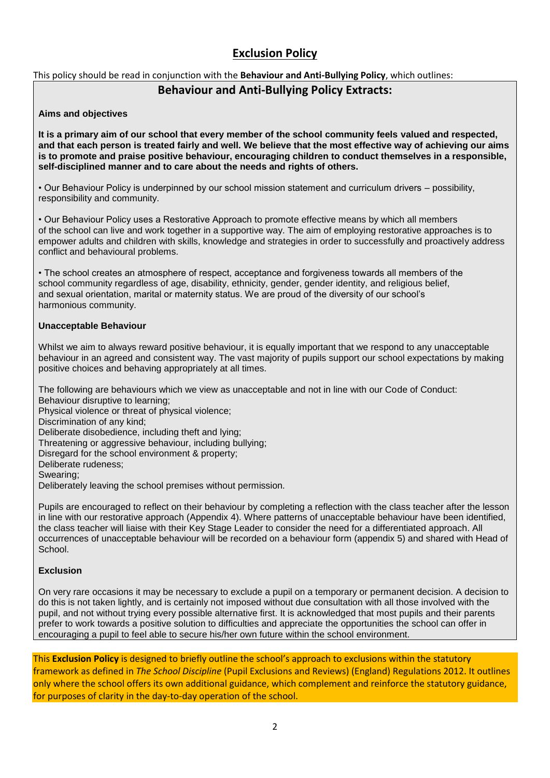# **Exclusion Policy**

This policy should be read in conjunction with the **Behaviour and Anti-Bullying Policy**, which outlines:

# **Behaviour and Anti-Bullying Policy Extracts:**

### **Aims and objectives**

**It is a primary aim of our school that every member of the school community feels valued and respected, and that each person is treated fairly and well. We believe that the most effective way of achieving our aims is to promote and praise positive behaviour, encouraging children to conduct themselves in a responsible, self-disciplined manner and to care about the needs and rights of others.**

• Our Behaviour Policy is underpinned by our school mission statement and curriculum drivers – possibility, responsibility and community.

• Our Behaviour Policy uses a Restorative Approach to promote effective means by which all members of the school can live and work together in a supportive way. The aim of employing restorative approaches is to empower adults and children with skills, knowledge and strategies in order to successfully and proactively address conflict and behavioural problems.

• The school creates an atmosphere of respect, acceptance and forgiveness towards all members of the school community regardless of age, disability, ethnicity, gender, gender identity, and religious belief, and sexual orientation, marital or maternity status. We are proud of the diversity of our school's harmonious community.

# **Unacceptable Behaviour**

Whilst we aim to always reward positive behaviour, it is equally important that we respond to any unacceptable behaviour in an agreed and consistent way. The vast majority of pupils support our school expectations by making positive choices and behaving appropriately at all times.

The following are behaviours which we view as unacceptable and not in line with our Code of Conduct:

Behaviour disruptive to learning; Physical violence or threat of physical violence; Discrimination of any kind; Deliberate disobedience, including theft and lying; Threatening or aggressive behaviour, including bullying; Disregard for the school environment & property; Deliberate rudeness; Swearing; Deliberately leaving the school premises without permission.

Pupils are encouraged to reflect on their behaviour by completing a reflection with the class teacher after the lesson in line with our restorative approach (Appendix 4). Where patterns of unacceptable behaviour have been identified, the class teacher will liaise with their Key Stage Leader to consider the need for a differentiated approach. All occurrences of unacceptable behaviour will be recorded on a behaviour form (appendix 5) and shared with Head of School.

# **Exclusion**

On very rare occasions it may be necessary to exclude a pupil on a temporary or permanent decision. A decision to do this is not taken lightly, and is certainly not imposed without due consultation with all those involved with the pupil, and not without trying every possible alternative first. It is acknowledged that most pupils and their parents prefer to work towards a positive solution to difficulties and appreciate the opportunities the school can offer in encouraging a pupil to feel able to secure his/her own future within the school environment.

This **Exclusion Policy** is designed to briefly outline the school's approach to exclusions within the statutory framework as defined in *The School Discipline* (Pupil Exclusions and Reviews) (England) Regulations 2012. It outlines only where the school offers its own additional guidance, which complement and reinforce the statutory guidance, for purposes of clarity in the day-to-day operation of the school.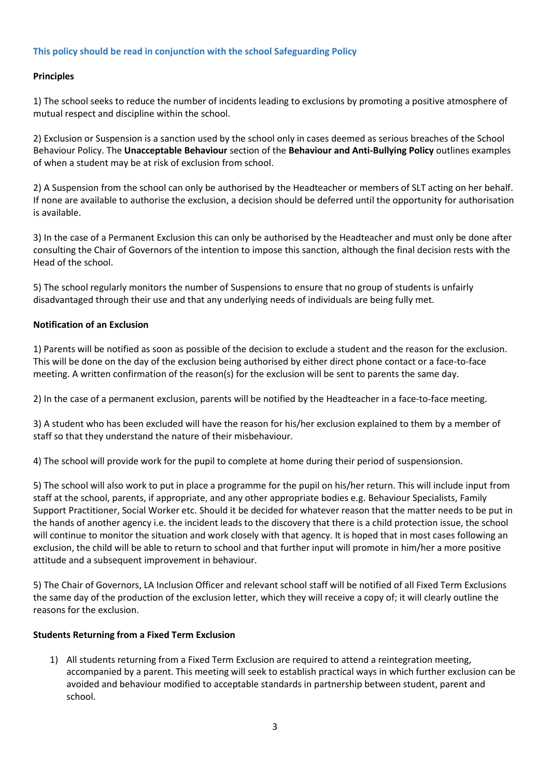# **This policy should be read in conjunction with the school Safeguarding Policy**

# **Principles**

1) The school seeks to reduce the number of incidents leading to exclusions by promoting a positive atmosphere of mutual respect and discipline within the school.

2) Exclusion or Suspension is a sanction used by the school only in cases deemed as serious breaches of the School Behaviour Policy. The **Unacceptable Behaviour** section of the **Behaviour and Anti-Bullying Policy** outlines examples of when a student may be at risk of exclusion from school.

2) A Suspension from the school can only be authorised by the Headteacher or members of SLT acting on her behalf. If none are available to authorise the exclusion, a decision should be deferred until the opportunity for authorisation is available.

3) In the case of a Permanent Exclusion this can only be authorised by the Headteacher and must only be done after consulting the Chair of Governors of the intention to impose this sanction, although the final decision rests with the Head of the school.

5) The school regularly monitors the number of Suspensions to ensure that no group of students is unfairly disadvantaged through their use and that any underlying needs of individuals are being fully met.

#### **Notification of an Exclusion**

1) Parents will be notified as soon as possible of the decision to exclude a student and the reason for the exclusion. This will be done on the day of the exclusion being authorised by either direct phone contact or a face-to-face meeting. A written confirmation of the reason(s) for the exclusion will be sent to parents the same day.

2) In the case of a permanent exclusion, parents will be notified by the Headteacher in a face-to-face meeting.

3) A student who has been excluded will have the reason for his/her exclusion explained to them by a member of staff so that they understand the nature of their misbehaviour.

4) The school will provide work for the pupil to complete at home during their period of suspensionsion.

5) The school will also work to put in place a programme for the pupil on his/her return. This will include input from staff at the school, parents, if appropriate, and any other appropriate bodies e.g. Behaviour Specialists, Family Support Practitioner, Social Worker etc. Should it be decided for whatever reason that the matter needs to be put in the hands of another agency i.e. the incident leads to the discovery that there is a child protection issue, the school will continue to monitor the situation and work closely with that agency. It is hoped that in most cases following an exclusion, the child will be able to return to school and that further input will promote in him/her a more positive attitude and a subsequent improvement in behaviour.

5) The Chair of Governors, LA Inclusion Officer and relevant school staff will be notified of all Fixed Term Exclusions the same day of the production of the exclusion letter, which they will receive a copy of; it will clearly outline the reasons for the exclusion.

#### **Students Returning from a Fixed Term Exclusion**

1) All students returning from a Fixed Term Exclusion are required to attend a reintegration meeting, accompanied by a parent. This meeting will seek to establish practical ways in which further exclusion can be avoided and behaviour modified to acceptable standards in partnership between student, parent and school.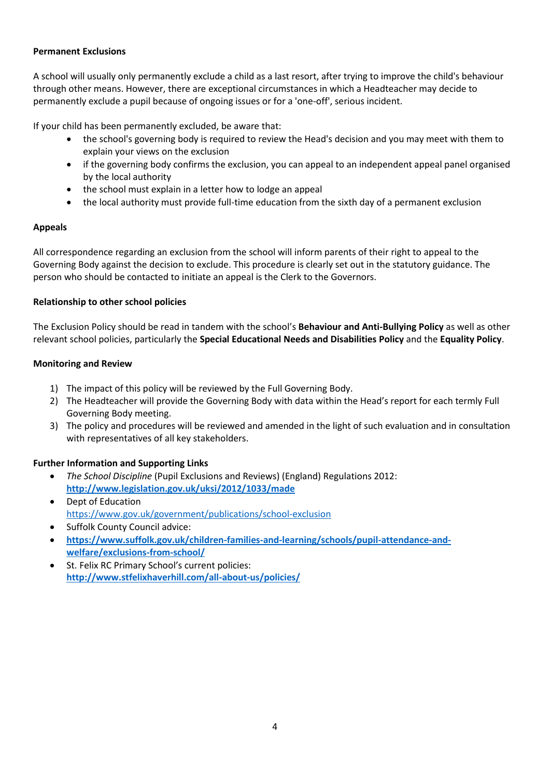# **Permanent Exclusions**

A school will usually only permanently exclude a child as a last resort, after trying to improve the child's behaviour through other means. However, there are exceptional circumstances in which a Headteacher may decide to permanently exclude a pupil because of ongoing issues or for a 'one-off', serious incident.

If your child has been permanently excluded, be aware that:

- the school's governing body is required to review the Head's decision and you may meet with them to explain your views on the exclusion
- if the governing body confirms the exclusion, you can appeal to an independent appeal panel organised by the local authority
- the school must explain in a letter how to lodge an appeal
- the local authority must provide full-time education from the sixth day of a permanent exclusion

#### **Appeals**

All correspondence regarding an exclusion from the school will inform parents of their right to appeal to the Governing Body against the decision to exclude. This procedure is clearly set out in the statutory guidance. The person who should be contacted to initiate an appeal is the Clerk to the Governors.

# **Relationship to other school policies**

The Exclusion Policy should be read in tandem with the school's **Behaviour and Anti-Bullying Policy** as well as other relevant school policies, particularly the **Special Educational Needs and Disabilities Policy** and the **Equality Policy**.

#### **Monitoring and Review**

- 1) The impact of this policy will be reviewed by the Full Governing Body.
- 2) The Headteacher will provide the Governing Body with data within the Head's report for each termly Full Governing Body meeting.
- 3) The policy and procedures will be reviewed and amended in the light of such evaluation and in consultation with representatives of all key stakeholders.

# **Further Information and Supporting Links**

- *The School Discipline* (Pupil Exclusions and Reviews) (England) Regulations 2012: **<http://www.legislation.gov.uk/uksi/2012/1033/made>**
- Dept of Education <https://www.gov.uk/government/publications/school-exclusion>
- Suffolk County Council advice:
- **[https://www.suffolk.gov.uk/children-families-and-learning/schools/pupil-attendance-and](https://www.suffolk.gov.uk/children-families-and-learning/schools/pupil-attendance-and-welfare/exclusions-from-school/#:~:text=Fixed%2Dterm%20exclusion,work%20to%20complete%20and%20return)[welfare/exclusions-from-school/](https://www.suffolk.gov.uk/children-families-and-learning/schools/pupil-attendance-and-welfare/exclusions-from-school/#:~:text=Fixed%2Dterm%20exclusion,work%20to%20complete%20and%20return)**
- St. Felix RC Primary School's current policies: **<http://www.stfelixhaverhill.com/all-about-us/policies/>**